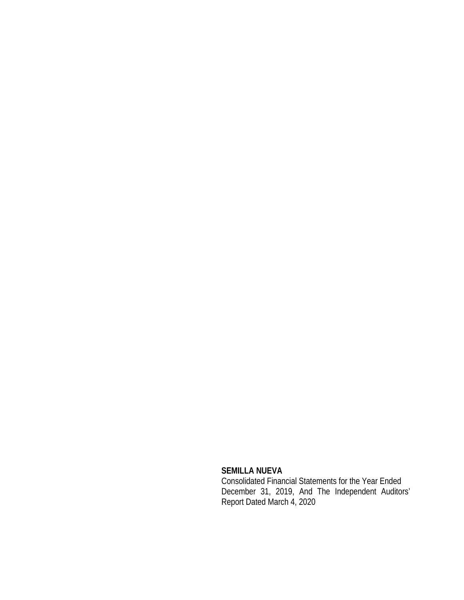## **SEMILLA NUEVA**

Consolidated Financial Statements for the Year Ended December 31, 2019, And The Independent Auditors' Report Dated March 4, 2020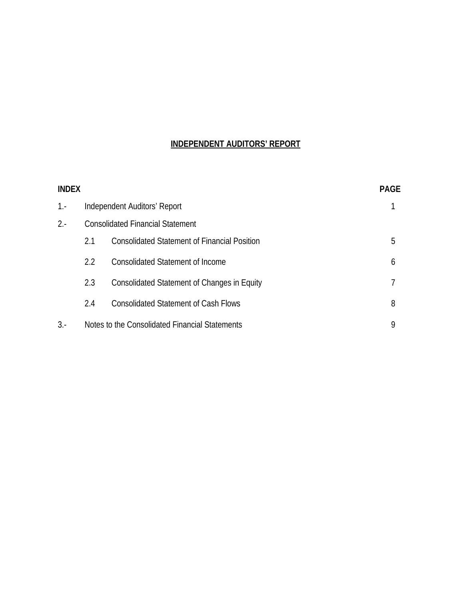## **INDEPENDENT AUDITORS' REPORT**

| <b>INDEX</b> |     |                                                     | <b>PAGE</b> |
|--------------|-----|-----------------------------------------------------|-------------|
| $1 -$        |     | Independent Auditors' Report                        |             |
| $2 -$        |     | <b>Consolidated Financial Statement</b>             |             |
|              | 2.1 | <b>Consolidated Statement of Financial Position</b> | 5           |
|              | 2.2 | <b>Consolidated Statement of Income</b>             | 6           |
|              | 2.3 | Consolidated Statement of Changes in Equity         |             |
|              | 2.4 | <b>Consolidated Statement of Cash Flows</b>         | 8           |
| $3. -$       |     | Notes to the Consolidated Financial Statements      | 9           |
|              |     |                                                     |             |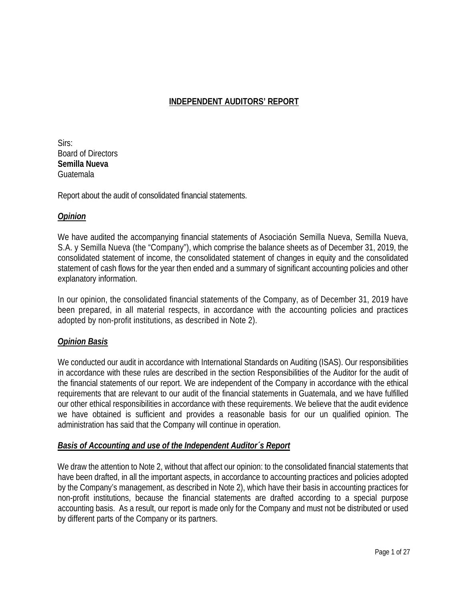## **INDEPENDENT AUDITORS' REPORT**

Sirs: Board of Directors **Semilla Nueva**  Guatemala

Report about the audit of consolidated financial statements.

## *Opinion*

We have audited the accompanying financial statements of Asociación Semilla Nueva, Semilla Nueva, S.A. y Semilla Nueva (the "Company"), which comprise the balance sheets as of December 31, 2019, the consolidated statement of income, the consolidated statement of changes in equity and the consolidated statement of cash flows for the year then ended and a summary of significant accounting policies and other explanatory information.

In our opinion, the consolidated financial statements of the Company, as of December 31, 2019 have been prepared, in all material respects, in accordance with the accounting policies and practices adopted by non-profit institutions, as described in Note 2).

## *Opinion Basis*

We conducted our audit in accordance with International Standards on Auditing (ISAS). Our responsibilities in accordance with these rules are described in the section Responsibilities of the Auditor for the audit of the financial statements of our report. We are independent of the Company in accordance with the ethical requirements that are relevant to our audit of the financial statements in Guatemala, and we have fulfilled our other ethical responsibilities in accordance with these requirements. We believe that the audit evidence we have obtained is sufficient and provides a reasonable basis for our un qualified opinion. The administration has said that the Company will continue in operation.

## *Basis of Accounting and use of the Independent Auditor´s Report*

We draw the attention to Note 2, without that affect our opinion: to the consolidated financial statements that have been drafted, in all the important aspects, in accordance to accounting practices and policies adopted by the Company's management, as described in Note 2), which have their basis in accounting practices for non-profit institutions, because the financial statements are drafted according to a special purpose accounting basis. As a result, our report is made only for the Company and must not be distributed or used by different parts of the Company or its partners.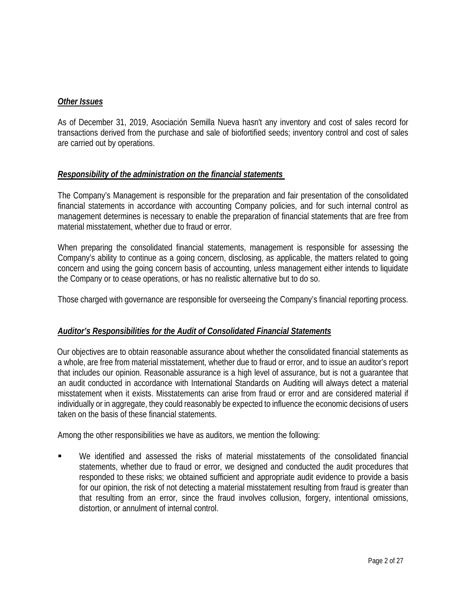## *Other Issues*

As of December 31, 2019, Asociación Semilla Nueva hasn't any inventory and cost of sales record for transactions derived from the purchase and sale of biofortified seeds; inventory control and cost of sales are carried out by operations.

## *Responsibility of the administration on the financial statements*

The Company's Management is responsible for the preparation and fair presentation of the consolidated financial statements in accordance with accounting Company policies, and for such internal control as management determines is necessary to enable the preparation of financial statements that are free from material misstatement, whether due to fraud or error.

When preparing the consolidated financial statements, management is responsible for assessing the Company's ability to continue as a going concern, disclosing, as applicable, the matters related to going concern and using the going concern basis of accounting, unless management either intends to liquidate the Company or to cease operations, or has no realistic alternative but to do so.

Those charged with governance are responsible for overseeing the Company's financial reporting process.

## *Auditor's Responsibilities for the Audit of Consolidated Financial Statements*

Our objectives are to obtain reasonable assurance about whether the consolidated financial statements as a whole, are free from material misstatement, whether due to fraud or error, and to issue an auditor's report that includes our opinion. Reasonable assurance is a high level of assurance, but is not a guarantee that an audit conducted in accordance with International Standards on Auditing will always detect a material misstatement when it exists. Misstatements can arise from fraud or error and are considered material if individually or in aggregate, they could reasonably be expected to influence the economic decisions of users taken on the basis of these financial statements.

Among the other responsibilities we have as auditors, we mention the following:

 We identified and assessed the risks of material misstatements of the consolidated financial statements, whether due to fraud or error, we designed and conducted the audit procedures that responded to these risks; we obtained sufficient and appropriate audit evidence to provide a basis for our opinion, the risk of not detecting a material misstatement resulting from fraud is greater than that resulting from an error, since the fraud involves collusion, forgery, intentional omissions, distortion, or annulment of internal control.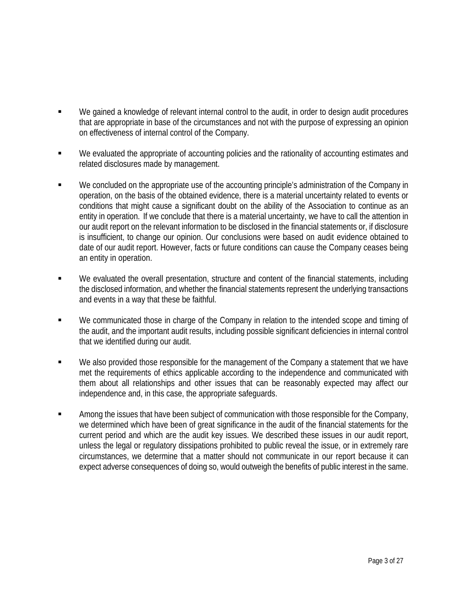- We gained a knowledge of relevant internal control to the audit, in order to design audit procedures that are appropriate in base of the circumstances and not with the purpose of expressing an opinion on effectiveness of internal control of the Company.
- We evaluated the appropriate of accounting policies and the rationality of accounting estimates and related disclosures made by management.
- We concluded on the appropriate use of the accounting principle's administration of the Company in operation, on the basis of the obtained evidence, there is a material uncertainty related to events or conditions that might cause a significant doubt on the ability of the Association to continue as an entity in operation. If we conclude that there is a material uncertainty, we have to call the attention in our audit report on the relevant information to be disclosed in the financial statements or, if disclosure is insufficient, to change our opinion. Our conclusions were based on audit evidence obtained to date of our audit report. However, facts or future conditions can cause the Company ceases being an entity in operation.
- We evaluated the overall presentation, structure and content of the financial statements, including the disclosed information, and whether the financial statements represent the underlying transactions and events in a way that these be faithful.
- We communicated those in charge of the Company in relation to the intended scope and timing of the audit, and the important audit results, including possible significant deficiencies in internal control that we identified during our audit.
- We also provided those responsible for the management of the Company a statement that we have met the requirements of ethics applicable according to the independence and communicated with them about all relationships and other issues that can be reasonably expected may affect our independence and, in this case, the appropriate safeguards.
- Among the issues that have been subject of communication with those responsible for the Company, we determined which have been of great significance in the audit of the financial statements for the current period and which are the audit key issues. We described these issues in our audit report, unless the legal or regulatory dissipations prohibited to public reveal the issue, or in extremely rare circumstances, we determine that a matter should not communicate in our report because it can expect adverse consequences of doing so, would outweigh the benefits of public interest in the same.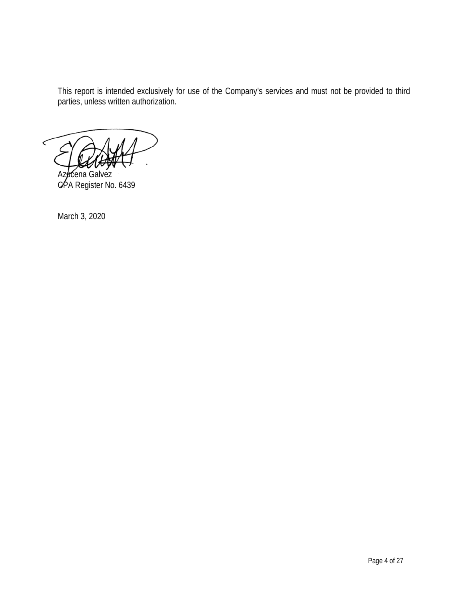This report is intended exclusively for use of the Company's services and must not be provided to third parties, unless written authorization.

Azacena Galvez CPA Register No. 6439

March 3, 2020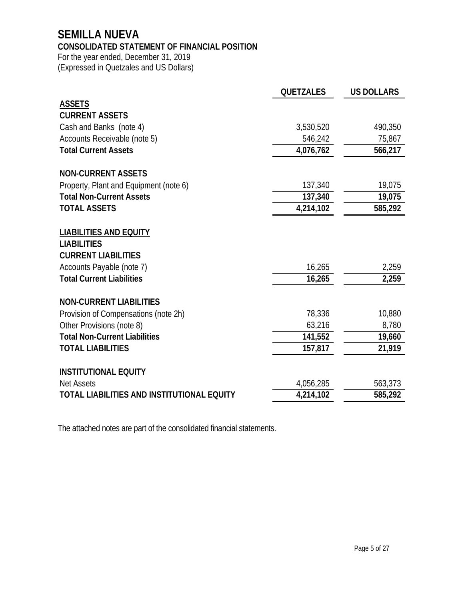## **SEMILLA NUEVA**

## **CONSOLIDATED STATEMENT OF FINANCIAL POSITION**

For the year ended, December 31, 2019 (Expressed in Quetzales and US Dollars)

|                                                                                   | <b>QUETZALES</b> | <b>US DOLLARS</b> |
|-----------------------------------------------------------------------------------|------------------|-------------------|
| <b>ASSETS</b>                                                                     |                  |                   |
| <b>CURRENT ASSETS</b>                                                             |                  |                   |
| Cash and Banks (note 4)                                                           | 3,530,520        | 490,350           |
| Accounts Receivable (note 5)                                                      | 546,242          | 75,867            |
| <b>Total Current Assets</b>                                                       | 4,076,762        | 566,217           |
| <b>NON-CURRENT ASSETS</b>                                                         |                  |                   |
| Property, Plant and Equipment (note 6)                                            | 137,340          | 19,075            |
| <b>Total Non-Current Assets</b>                                                   | 137,340          | 19,075            |
| <b>TOTAL ASSETS</b>                                                               | 4,214,102        | 585,292           |
| <b>LIABILITIES AND EQUITY</b><br><b>LIABILITIES</b><br><b>CURRENT LIABILITIES</b> |                  |                   |
| Accounts Payable (note 7)                                                         | 16,265           | 2,259             |
| <b>Total Current Liabilities</b>                                                  | 16,265           | 2,259             |
| <b>NON-CURRENT LIABILITIES</b>                                                    |                  |                   |
| Provision of Compensations (note 2h)                                              | 78,336           | 10,880            |
| Other Provisions (note 8)                                                         | 63,216           | 8,780             |
| <b>Total Non-Current Liabilities</b>                                              | 141,552          | 19,660            |
| <b>TOTAL LIABILITIES</b>                                                          | 157,817          | 21,919            |
| <b>INSTITUTIONAL EQUITY</b>                                                       |                  |                   |
| <b>Net Assets</b>                                                                 | 4,056,285        | 563,373           |
| TOTAL LIABILITIES AND INSTITUTIONAL EQUITY                                        | 4,214,102        | 585,292           |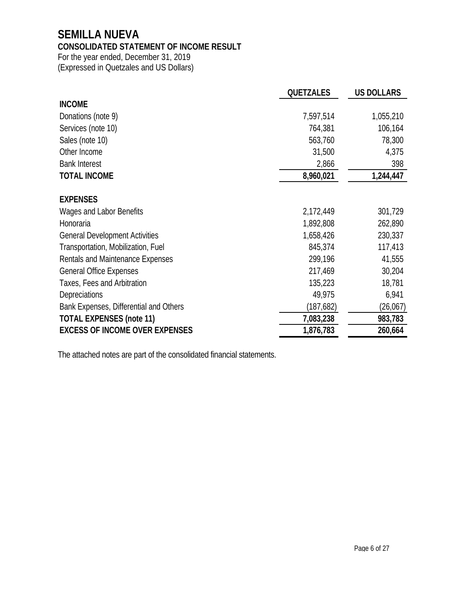## **SEMILLA NUEVA**

## **CONSOLIDATED STATEMENT OF INCOME RESULT**

For the year ended, December 31, 2019 (Expressed in Quetzales and US Dollars)

|                                        | <b>QUETZALES</b> | <b>US DOLLARS</b> |
|----------------------------------------|------------------|-------------------|
| <b>INCOME</b>                          |                  |                   |
| Donations (note 9)                     | 7,597,514        | 1,055,210         |
| Services (note 10)                     | 764,381          | 106,164           |
| Sales (note 10)                        | 563,760          | 78,300            |
| Other Income                           | 31,500           | 4,375             |
| <b>Bank Interest</b>                   | 2,866            | 398               |
| <b>TOTAL INCOME</b>                    | 8,960,021        | 1,244,447         |
| <b>EXPENSES</b>                        |                  |                   |
| Wages and Labor Benefits               | 2,172,449        | 301,729           |
| Honoraria                              | 1,892,808        | 262,890           |
| <b>General Development Activities</b>  | 1,658,426        | 230,337           |
| Transportation, Mobilization, Fuel     | 845,374          | 117,413           |
| Rentals and Maintenance Expenses       | 299,196          | 41,555            |
| <b>General Office Expenses</b>         | 217,469          | 30,204            |
| Taxes, Fees and Arbitration            | 135,223          | 18,781            |
| <b>Depreciations</b>                   | 49,975           | 6,941             |
| Bank Expenses, Differential and Others | (187, 682)       | (26,067)          |
| <b>TOTAL EXPENSES (note 11)</b>        | 7,083,238        | 983,783           |
| <b>EXCESS OF INCOME OVER EXPENSES</b>  | 1,876,783        | 260,664           |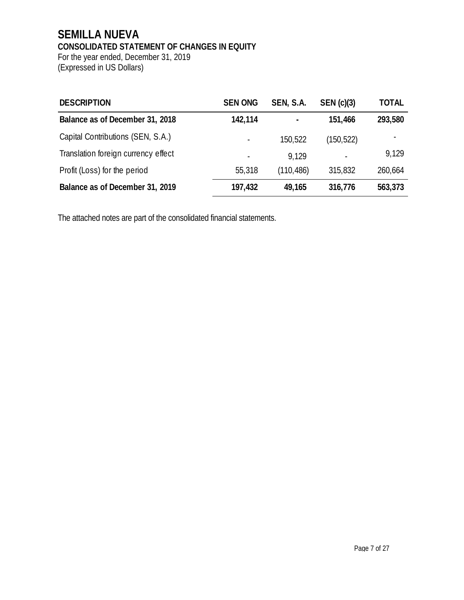## **SEMILLA NUEVA CONSOLIDATED STATEMENT OF CHANGES IN EQUITY**

For the year ended, December 31, 2019 (Expressed in US Dollars)

| <b>DESCRIPTION</b>                  | <b>SEN ONG</b> | SEN, S.A.  | SEN(c)(3) | <b>TOTAL</b> |
|-------------------------------------|----------------|------------|-----------|--------------|
| Balance as of December 31, 2018     | 142,114        |            | 151,466   | 293,580      |
| Capital Contributions (SEN, S.A.)   |                | 150,522    | (150,522) |              |
| Translation foreign currency effect |                | 9.129      |           | 9.129        |
| Profit (Loss) for the period        | 55,318         | (110, 486) | 315,832   | 260,664      |
| Balance as of December 31, 2019     | 197,432        | 49,165     | 316,776   | 563,373      |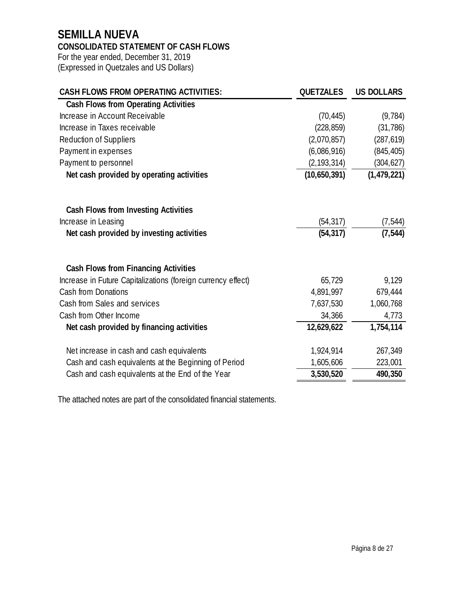## **SEMILLA NUEVA**

## **CONSOLIDATED STATEMENT OF CASH FLOWS**

For the year ended, December 31, 2019 (Expressed in Quetzales and US Dollars)

| <b>CASH FLOWS FROM OPERATING ACTIVITIES:</b>                 | <b>QUETZALES</b> | <b>US DOLLARS</b> |
|--------------------------------------------------------------|------------------|-------------------|
| <b>Cash Flows from Operating Activities</b>                  |                  |                   |
| Increase in Account Receivable                               | (70, 445)        | (9, 784)          |
| Increase in Taxes receivable                                 | (228, 859)       | (31, 786)         |
| <b>Reduction of Suppliers</b>                                | (2,070,857)      | (287, 619)        |
| Payment in expenses                                          | (6,086,916)      | (845, 405)        |
| Payment to personnel                                         | (2, 193, 314)    | (304, 627)        |
| Net cash provided by operating activities                    | (10,650,391)     | (1,479,221)       |
|                                                              |                  |                   |
| Cash Flows from Investing Activities                         |                  |                   |
| Increase in Leasing                                          | (54, 317)        | (7, 544)          |
| Net cash provided by investing activities                    | (54, 317)        | (7, 544)          |
|                                                              |                  |                   |
| Cash Flows from Financing Activities                         |                  |                   |
| Increase in Future Capitalizations (foreign currency effect) | 65,729           | 9,129             |
| <b>Cash from Donations</b>                                   | 4,891,997        | 679,444           |
| Cash from Sales and services                                 | 7,637,530        | 1,060,768         |
| Cash from Other Income                                       | 34,366           | 4,773             |
| Net cash provided by financing activities                    | 12,629,622       | 1,754,114         |
| Net increase in cash and cash equivalents                    | 1,924,914        | 267,349           |
| Cash and cash equivalents at the Beginning of Period         | 1,605,606        | 223,001           |
| Cash and cash equivalents at the End of the Year             | 3,530,520        | 490,350           |
|                                                              |                  |                   |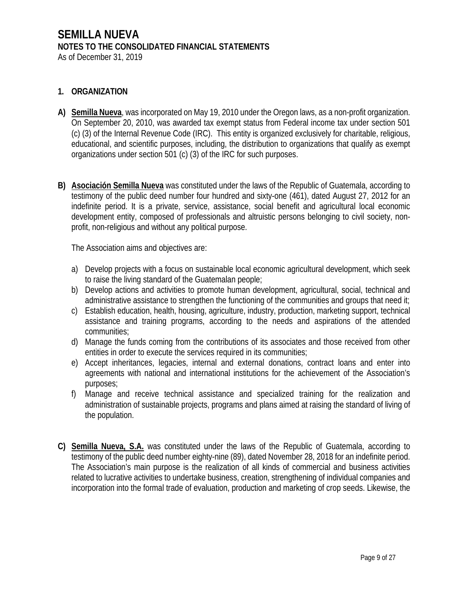## **1. ORGANIZATION**

- **A) Semilla Nueva**, was incorporated on May 19, 2010 under the Oregon laws, as a non-profit organization. On September 20, 2010, was awarded tax exempt status from Federal income tax under section 501 (c) (3) of the Internal Revenue Code (IRC). This entity is organized exclusively for charitable, religious, educational, and scientific purposes, including, the distribution to organizations that qualify as exempt organizations under section 501 (c) (3) of the IRC for such purposes.
- **B) Asociación Semilla Nueva** was constituted under the laws of the Republic of Guatemala, according to testimony of the public deed number four hundred and sixty-one (461), dated August 27, 2012 for an indefinite period. It is a private, service, assistance, social benefit and agricultural local economic development entity, composed of professionals and altruistic persons belonging to civil society, nonprofit, non-religious and without any political purpose.

The Association aims and objectives are:

- a) Develop projects with a focus on sustainable local economic agricultural development, which seek to raise the living standard of the Guatemalan people;
- b) Develop actions and activities to promote human development, agricultural, social, technical and administrative assistance to strengthen the functioning of the communities and groups that need it;
- c) Establish education, health, housing, agriculture, industry, production, marketing support, technical assistance and training programs, according to the needs and aspirations of the attended communities;
- d) Manage the funds coming from the contributions of its associates and those received from other entities in order to execute the services required in its communities;
- e) Accept inheritances, legacies, internal and external donations, contract loans and enter into agreements with national and international institutions for the achievement of the Association's purposes;
- f) Manage and receive technical assistance and specialized training for the realization and administration of sustainable projects, programs and plans aimed at raising the standard of living of the population.
- **C) Semilla Nueva, S.A.** was constituted under the laws of the Republic of Guatemala, according to testimony of the public deed number eighty-nine (89), dated November 28, 2018 for an indefinite period. The Association's main purpose is the realization of all kinds of commercial and business activities related to lucrative activities to undertake business, creation, strengthening of individual companies and incorporation into the formal trade of evaluation, production and marketing of crop seeds. Likewise, the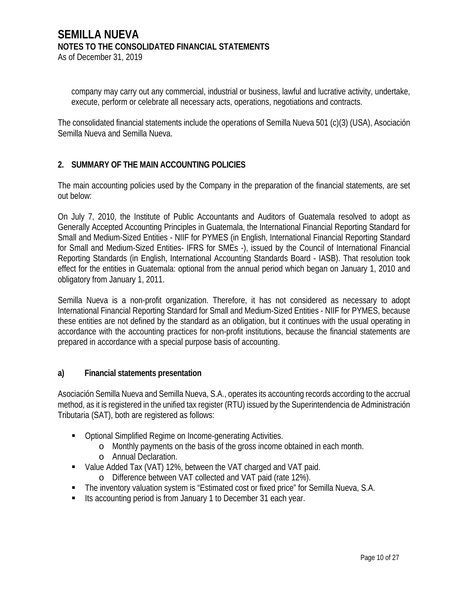company may carry out any commercial, industrial or business, lawful and lucrative activity, undertake, execute, perform or celebrate all necessary acts, operations, negotiations and contracts.

The consolidated financial statements include the operations of Semilla Nueva 501 (c)(3) (USA), Asociación Semilla Nueva and Semilla Nueva.

## **2. SUMMARY OF THE MAIN ACCOUNTING POLICIES**

The main accounting policies used by the Company in the preparation of the financial statements, are set out below:

On July 7, 2010, the Institute of Public Accountants and Auditors of Guatemala resolved to adopt as Generally Accepted Accounting Principles in Guatemala, the International Financial Reporting Standard for Small and Medium-Sized Entities - NIIF for PYMES (in English, International Financial Reporting Standard for Small and Medium-Sized Entities- IFRS for SMEs -), issued by the Council of International Financial Reporting Standards (in English, International Accounting Standards Board - IASB). That resolution took effect for the entities in Guatemala: optional from the annual period which began on January 1, 2010 and obligatory from January 1, 2011.

Semilla Nueva is a non-profit organization. Therefore, it has not considered as necessary to adopt International Financial Reporting Standard for Small and Medium-Sized Entities - NIIF for PYMES, because these entities are not defined by the standard as an obligation, but it continues with the usual operating in accordance with the accounting practices for non-profit institutions, because the financial statements are prepared in accordance with a special purpose basis of accounting.

## **a) Financial statements presentation**

Asociación Semilla Nueva and Semilla Nueva, S.A., operates its accounting records according to the accrual method, as it is registered in the unified tax register (RTU) issued by the Superintendencia de Administración Tributaria (SAT), both are registered as follows:

- Optional Simplified Regime on Income-generating Activities.
	- o Monthly payments on the basis of the gross income obtained in each month.
	- o Annual Declaration.
- Value Added Tax (VAT) 12%, between the VAT charged and VAT paid.
	- o Difference between VAT collected and VAT paid (rate 12%).
- The inventory valuation system is "Estimated cost or fixed price" for Semilla Nueva, S.A.
- Its accounting period is from January 1 to December 31 each year.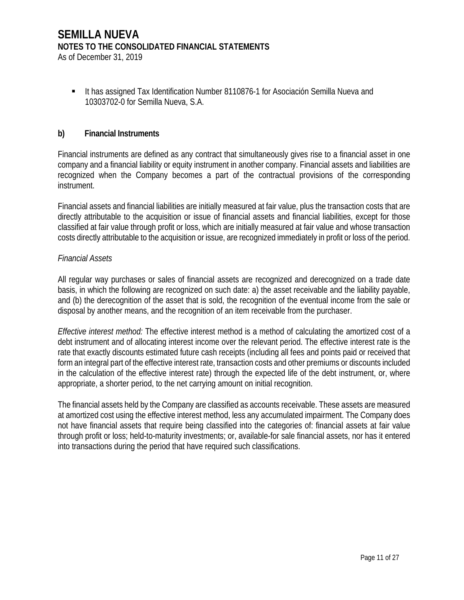As of December 31, 2019

 It has assigned Tax Identification Number 8110876-1 for Asociación Semilla Nueva and 10303702-0 for Semilla Nueva, S.A.

#### **b) Financial Instruments**

Financial instruments are defined as any contract that simultaneously gives rise to a financial asset in one company and a financial liability or equity instrument in another company. Financial assets and liabilities are recognized when the Company becomes a part of the contractual provisions of the corresponding instrument.

Financial assets and financial liabilities are initially measured at fair value, plus the transaction costs that are directly attributable to the acquisition or issue of financial assets and financial liabilities, except for those classified at fair value through profit or loss, which are initially measured at fair value and whose transaction costs directly attributable to the acquisition or issue, are recognized immediately in profit or loss of the period.

#### *Financial Assets*

All regular way purchases or sales of financial assets are recognized and derecognized on a trade date basis, in which the following are recognized on such date: a) the asset receivable and the liability payable, and (b) the derecognition of the asset that is sold, the recognition of the eventual income from the sale or disposal by another means, and the recognition of an item receivable from the purchaser.

*Effective interest method:* The effective interest method is a method of calculating the amortized cost of a debt instrument and of allocating interest income over the relevant period. The effective interest rate is the rate that exactly discounts estimated future cash receipts (including all fees and points paid or received that form an integral part of the effective interest rate, transaction costs and other premiums or discounts included in the calculation of the effective interest rate) through the expected life of the debt instrument, or, where appropriate, a shorter period, to the net carrying amount on initial recognition.

The financial assets held by the Company are classified as accounts receivable. These assets are measured at amortized cost using the effective interest method, less any accumulated impairment. The Company does not have financial assets that require being classified into the categories of: financial assets at fair value through profit or loss; held-to-maturity investments; or, available-for sale financial assets, nor has it entered into transactions during the period that have required such classifications.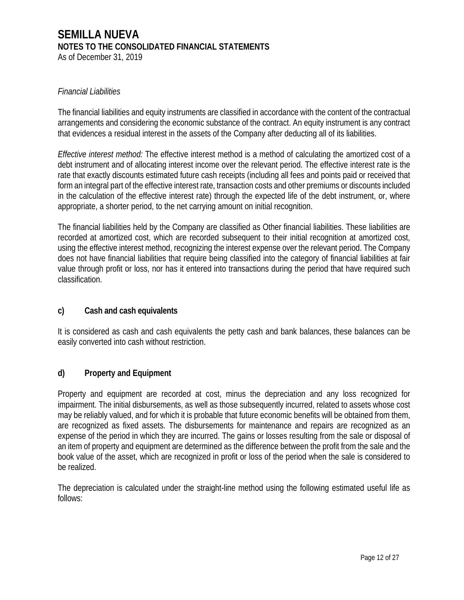As of December 31, 2019

### *Financial Liabilities*

The financial liabilities and equity instruments are classified in accordance with the content of the contractual arrangements and considering the economic substance of the contract. An equity instrument is any contract that evidences a residual interest in the assets of the Company after deducting all of its liabilities.

*Effective interest method:* The effective interest method is a method of calculating the amortized cost of a debt instrument and of allocating interest income over the relevant period. The effective interest rate is the rate that exactly discounts estimated future cash receipts (including all fees and points paid or received that form an integral part of the effective interest rate, transaction costs and other premiums or discounts included in the calculation of the effective interest rate) through the expected life of the debt instrument, or, where appropriate, a shorter period, to the net carrying amount on initial recognition.

The financial liabilities held by the Company are classified as Other financial liabilities. These liabilities are recorded at amortized cost, which are recorded subsequent to their initial recognition at amortized cost, using the effective interest method, recognizing the interest expense over the relevant period. The Company does not have financial liabilities that require being classified into the category of financial liabilities at fair value through profit or loss, nor has it entered into transactions during the period that have required such classification.

## **c) Cash and cash equivalents**

It is considered as cash and cash equivalents the petty cash and bank balances, these balances can be easily converted into cash without restriction.

## **d) Property and Equipment**

Property and equipment are recorded at cost, minus the depreciation and any loss recognized for impairment. The initial disbursements, as well as those subsequently incurred, related to assets whose cost may be reliably valued, and for which it is probable that future economic benefits will be obtained from them, are recognized as fixed assets. The disbursements for maintenance and repairs are recognized as an expense of the period in which they are incurred. The gains or losses resulting from the sale or disposal of an item of property and equipment are determined as the difference between the profit from the sale and the book value of the asset, which are recognized in profit or loss of the period when the sale is considered to be realized.

The depreciation is calculated under the straight-line method using the following estimated useful life as follows: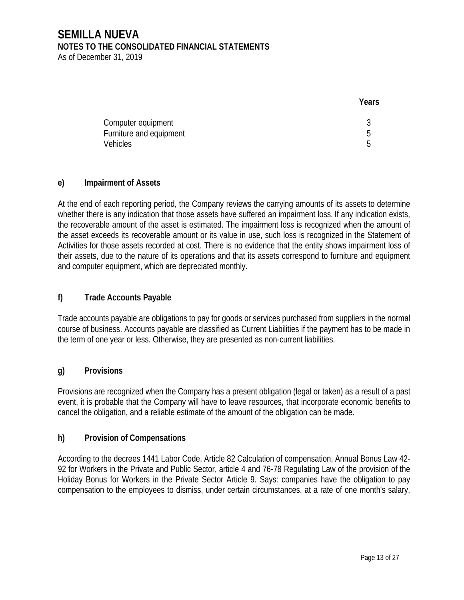As of December 31, 2019

|                                                                  | Years  |
|------------------------------------------------------------------|--------|
| Computer equipment<br>Furniture and equipment<br><b>Vehicles</b> | b<br>后 |

### **e) Impairment of Assets**

At the end of each reporting period, the Company reviews the carrying amounts of its assets to determine whether there is any indication that those assets have suffered an impairment loss. If any indication exists, the recoverable amount of the asset is estimated. The impairment loss is recognized when the amount of the asset exceeds its recoverable amount or its value in use, such loss is recognized in the Statement of Activities for those assets recorded at cost. There is no evidence that the entity shows impairment loss of their assets, due to the nature of its operations and that its assets correspond to furniture and equipment and computer equipment, which are depreciated monthly.

### **f) Trade Accounts Payable**

Trade accounts payable are obligations to pay for goods or services purchased from suppliers in the normal course of business. Accounts payable are classified as Current Liabilities if the payment has to be made in the term of one year or less. Otherwise, they are presented as non-current liabilities.

#### **g) Provisions**

Provisions are recognized when the Company has a present obligation (legal or taken) as a result of a past event, it is probable that the Company will have to leave resources, that incorporate economic benefits to cancel the obligation, and a reliable estimate of the amount of the obligation can be made.

## **h) Provision of Compensations**

According to the decrees 1441 Labor Code, Article 82 Calculation of compensation, Annual Bonus Law 42- 92 for Workers in the Private and Public Sector, article 4 and 76-78 Regulating Law of the provision of the Holiday Bonus for Workers in the Private Sector Article 9. Says: companies have the obligation to pay compensation to the employees to dismiss, under certain circumstances, at a rate of one month's salary,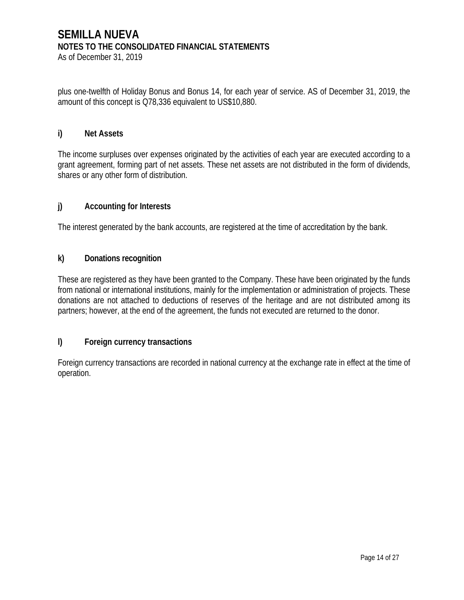As of December 31, 2019

plus one-twelfth of Holiday Bonus and Bonus 14, for each year of service. AS of December 31, 2019, the amount of this concept is Q78,336 equivalent to US\$10,880.

#### **i) Net Assets**

The income surpluses over expenses originated by the activities of each year are executed according to a grant agreement, forming part of net assets. These net assets are not distributed in the form of dividends, shares or any other form of distribution.

### **j) Accounting for Interests**

The interest generated by the bank accounts, are registered at the time of accreditation by the bank.

### **k) Donations recognition**

These are registered as they have been granted to the Company. These have been originated by the funds from national or international institutions, mainly for the implementation or administration of projects. These donations are not attached to deductions of reserves of the heritage and are not distributed among its partners; however, at the end of the agreement, the funds not executed are returned to the donor.

## **l) Foreign currency transactions**

Foreign currency transactions are recorded in national currency at the exchange rate in effect at the time of operation.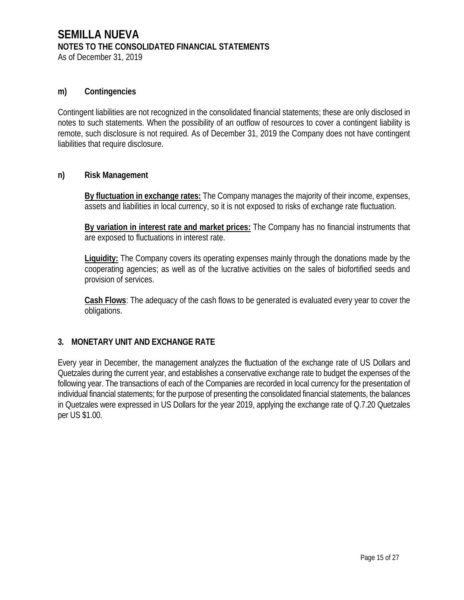As of December 31, 2019

#### **m) Contingencies**

Contingent liabilities are not recognized in the consolidated financial statements; these are only disclosed in notes to such statements. When the possibility of an outflow of resources to cover a contingent liability is remote, such disclosure is not required. As of December 31, 2019 the Company does not have contingent liabilities that require disclosure.

#### **n) Risk Management**

**By fluctuation in exchange rates:** The Company manages the majority of their income, expenses, assets and liabilities in local currency, so it is not exposed to risks of exchange rate fluctuation.

**By variation in interest rate and market prices:** The Company has no financial instruments that are exposed to fluctuations in interest rate.

**Liquidity:** The Company covers its operating expenses mainly through the donations made by the cooperating agencies; as well as of the lucrative activities on the sales of biofortified seeds and provision of services.

**Cash Flows**: The adequacy of the cash flows to be generated is evaluated every year to cover the obligations.

#### **3. MONETARY UNIT AND EXCHANGE RATE**

Every year in December, the management analyzes the fluctuation of the exchange rate of US Dollars and Quetzales during the current year, and establishes a conservative exchange rate to budget the expenses of the following year. The transactions of each of the Companies are recorded in local currency for the presentation of individual financial statements; for the purpose of presenting the consolidated financial statements, the balances in Quetzales were expressed in US Dollars for the year 2019, applying the exchange rate of Q.7.20 Quetzales per US \$1.00.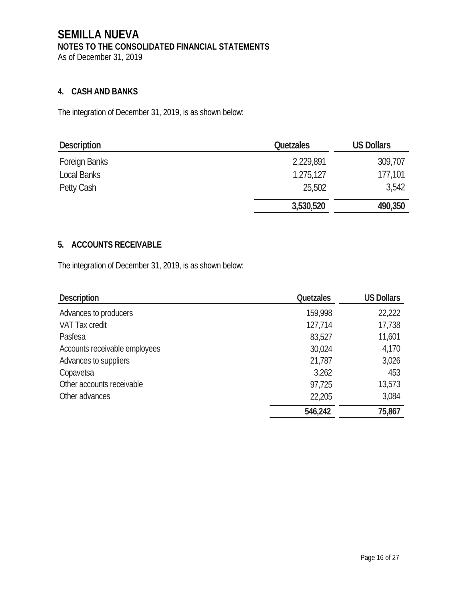## **4. CASH AND BANKS**

The integration of December 31, 2019, is as shown below:

| <b>Description</b>   | <b>Quetzales</b> | <b>US Dollars</b> |
|----------------------|------------------|-------------------|
| <b>Foreign Banks</b> | 2,229,891        | 309,707           |
| Local Banks          | 1,275,127        | 177,101           |
| Petty Cash           | 25,502           | 3,542             |
|                      | 3,530,520        | 490,350           |

## **5. ACCOUNTS RECEIVABLE**

The integration of December 31, 2019, is as shown below:

| <b>Description</b>            | <b>Quetzales</b> | <b>US Dollars</b> |
|-------------------------------|------------------|-------------------|
| Advances to producers         | 159,998          | 22,222            |
| <b>VAT Tax credit</b>         | 127,714          | 17,738            |
| Pasfesa                       | 83,527           | 11,601            |
| Accounts receivable employees | 30,024           | 4,170             |
| Advances to suppliers         | 21,787           | 3,026             |
| Copavetsa                     | 3,262            | 453               |
| Other accounts receivable     | 97,725           | 13,573            |
| Other advances                | 22,205           | 3,084             |
|                               | 546,242          | 75,867            |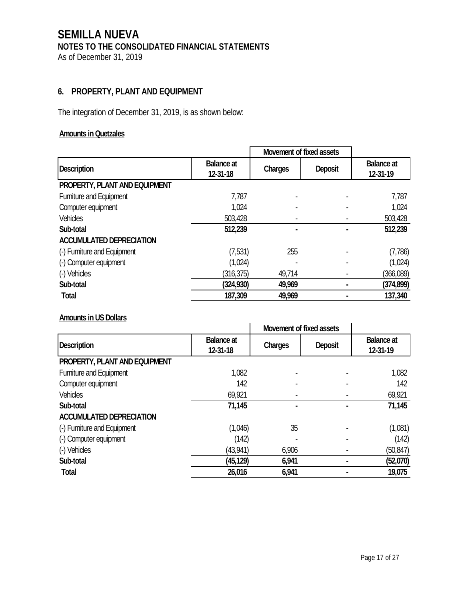**6. PROPERTY, PLANT AND EQUIPMENT** 

The integration of December 31, 2019, is as shown below:

## **Amounts in Quetzales**

|                                 |                               | Movement of fixed assets |         |                        |
|---------------------------------|-------------------------------|--------------------------|---------|------------------------|
| <b>Description</b>              | <b>Balance at</b><br>12-31-18 | Charges                  | Deposit | Balance at<br>12-31-19 |
| PROPERTY, PLANT AND EQUIPMENT   |                               |                          |         |                        |
| <b>Furniture and Equipment</b>  | 7,787                         |                          |         | 7,787                  |
| Computer equipment              | 1,024                         |                          |         | 1,024                  |
| <b>Vehicles</b>                 | 503,428                       |                          |         | 503,428                |
| Sub-total                       | 512,239                       |                          |         | 512,239                |
| <b>ACCUMULATED DEPRECIATION</b> |                               |                          |         |                        |
| (-) Furniture and Equipment     | (7,531)                       | 255                      |         | (7,786)                |
| (-) Computer equipment          | (1,024)                       |                          |         | (1,024)                |
| (-) Vehicles                    | (316, 375)                    | 49,714                   |         | (366,089)              |
| Sub-total                       | (324, 930)                    | 49,969                   |         | (374, 899)             |
| <b>Total</b>                    | 187,309                       | 49,969                   |         | 137,340                |

### **Amounts in US Dollars**

|                                 |                               | Movement of fixed assets |         |                               |
|---------------------------------|-------------------------------|--------------------------|---------|-------------------------------|
| <b>Description</b>              | <b>Balance</b> at<br>12-31-18 | Charges                  | Deposit | <b>Balance</b> at<br>12-31-19 |
| PROPERTY, PLANT AND EQUIPMENT   |                               |                          |         |                               |
| Furniture and Equipment         | 1,082                         |                          |         | 1,082                         |
| Computer equipment              | 142                           |                          |         | 142                           |
| <b>Vehicles</b>                 | 69,921                        |                          |         | 69,921                        |
| Sub-total                       | 71,145                        |                          |         | 71,145                        |
| <b>ACCUMULATED DEPRECIATION</b> |                               |                          |         |                               |
| (-) Furniture and Equipment     | (1,046)                       | 35                       |         | (1,081)                       |
| (-) Computer equipment          | (142)                         |                          |         | (142)                         |
| (-) Vehicles                    | (43, 941)                     | 6,906                    |         | (50, 847)                     |
| Sub-total                       | (45, 129)                     | 6,941                    |         | (52,070)                      |
| <b>Total</b>                    | 26,016                        | 6,941                    |         | 19,075                        |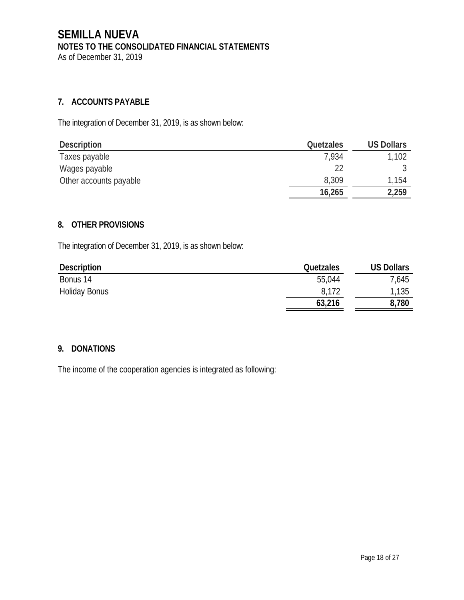## **7. ACCOUNTS PAYABLE**

The integration of December 31, 2019, is as shown below:

| Description            | Quetzales | <b>US Dollars</b> |
|------------------------|-----------|-------------------|
| Taxes payable          | 7,934     | 1,102             |
| Wages payable          |           |                   |
| Other accounts payable | 8,309     | 1,154             |
|                        | 16,265    | 2,259             |

### **8. OTHER PROVISIONS**

The integration of December 31, 2019, is as shown below:

| Description          | Quetzales | <b>US Dollars</b> |
|----------------------|-----------|-------------------|
| Bonus 14             | 55,044    | 7,645             |
| <b>Holiday Bonus</b> | 8,172     | 1,135             |
|                      | 63,216    | 8,780             |

## **9. DONATIONS**

The income of the cooperation agencies is integrated as following: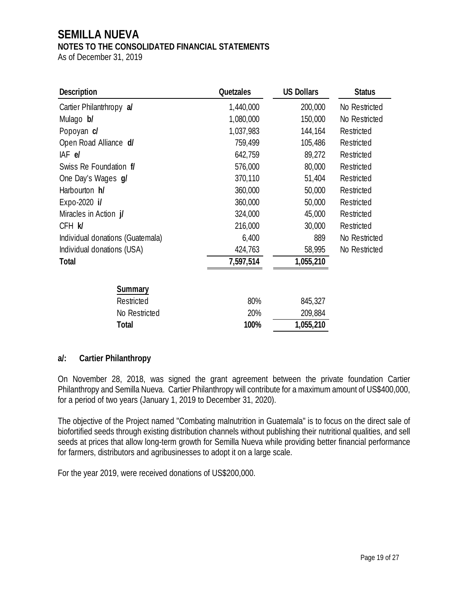## **SEMILLA NUEVA**

### **NOTES TO THE CONSOLIDATED FINANCIAL STATEMENTS**

As of December 31, 2019

| Description                      | <b>Quetzales</b> | <b>US Dollars</b> | <b>Status</b> |
|----------------------------------|------------------|-------------------|---------------|
| Cartier Philantrhropy al         | 1,440,000        | 200,000           | No Restricted |
| Mulago b/                        | 1,080,000        | 150,000           | No Restricted |
| Popoyan c/                       | 1,037,983        | 144,164           | Restricted    |
| Open Road Alliance d/            | 759,499          | 105,486           | Restricted    |
| IAF el                           | 642,759          | 89,272            | Restricted    |
| Swiss Re Foundation f/           | 576,000          | 80,000            | Restricted    |
| One Day's Wages g/               | 370,110          | 51,404            | Restricted    |
| Harbourton h/                    | 360,000          | 50,000            | Restricted    |
| Expo-2020 i/                     | 360,000          | 50,000            | Restricted    |
| Miracles in Action j/            | 324,000          | 45,000            | Restricted    |
| CFH K                            | 216,000          | 30,000            | Restricted    |
| Individual donations (Guatemala) | 6,400            | 889               | No Restricted |
| Individual donations (USA)       | 424,763          | 58,995            | No Restricted |
| <b>Total</b>                     | 7,597,514        | 1,055,210         |               |
| Summary                          |                  |                   |               |
| Restricted                       | 80%              | 845,327           |               |
| No Restricted                    | 20%              | 209,884           |               |
| <b>Total</b>                     | 100%             | 1,055,210         |               |

#### **a/: Cartier Philanthropy**

On November 28, 2018, was signed the grant agreement between the private foundation Cartier Philanthropy and Semilla Nueva. Cartier Philanthropy will contribute for a maximum amount of US\$400,000, for a period of two years (January 1, 2019 to December 31, 2020).

The objective of the Project named "Combating malnutrition in Guatemala" is to focus on the direct sale of biofortified seeds through existing distribution channels without publishing their nutritional qualities, and sell seeds at prices that allow long-term growth for Semilla Nueva while providing better financial performance for farmers, distributors and agribusinesses to adopt it on a large scale.

For the year 2019, were received donations of US\$200,000.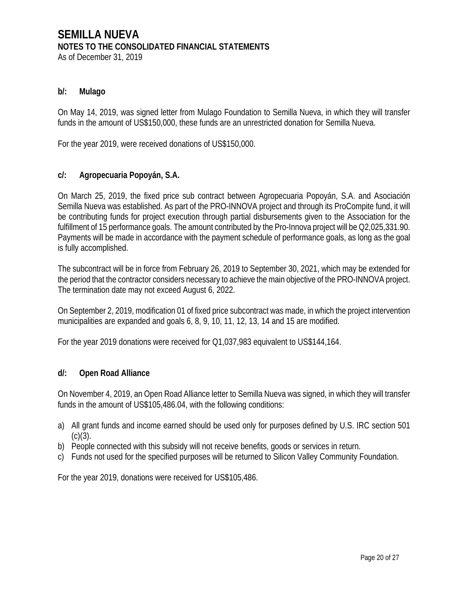As of December 31, 2019

#### **b/: Mulago**

On May 14, 2019, was signed letter from Mulago Foundation to Semilla Nueva, in which they will transfer funds in the amount of US\$150,000, these funds are an unrestricted donation for Semilla Nueva.

For the year 2019, were received donations of US\$150,000.

#### **c/: Agropecuaria Popoyán, S.A.**

On March 25, 2019, the fixed price sub contract between Agropecuaria Popoyán, S.A. and Asociación Semilla Nueva was established. As part of the PRO-INNOVA project and through its ProCompite fund, it will be contributing funds for project execution through partial disbursements given to the Association for the fulfillment of 15 performance goals. The amount contributed by the Pro-Innova project will be Q2,025,331.90. Payments will be made in accordance with the payment schedule of performance goals, as long as the goal is fully accomplished.

The subcontract will be in force from February 26, 2019 to September 30, 2021, which may be extended for the period that the contractor considers necessary to achieve the main objective of the PRO-INNOVA project. The termination date may not exceed August 6, 2022.

On September 2, 2019, modification 01 of fixed price subcontract was made, in which the project intervention municipalities are expanded and goals 6, 8, 9, 10, 11, 12, 13, 14 and 15 are modified.

For the year 2019 donations were received for Q1,037,983 equivalent to US\$144,164.

#### **d/: Open Road Alliance**

On November 4, 2019, an Open Road Alliance letter to Semilla Nueva was signed, in which they will transfer funds in the amount of US\$105,486.04, with the following conditions:

- a) All grant funds and income earned should be used only for purposes defined by U.S. IRC section 501  $(C)(3)$ .
- b) People connected with this subsidy will not receive benefits, goods or services in return.
- c) Funds not used for the specified purposes will be returned to Silicon Valley Community Foundation.

For the year 2019, donations were received for US\$105,486.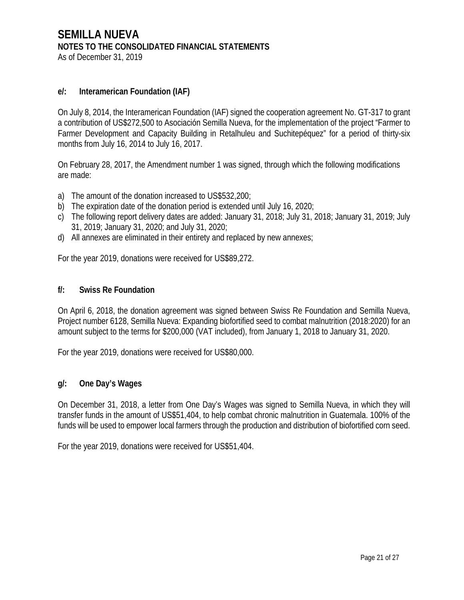### **e/: Interamerican Foundation (IAF)**

On July 8, 2014, the Interamerican Foundation (IAF) signed the cooperation agreement No. GT-317 to grant a contribution of US\$272,500 to Asociación Semilla Nueva, for the implementation of the project "Farmer to Farmer Development and Capacity Building in Retalhuleu and Suchitepéquez" for a period of thirty-six months from July 16, 2014 to July 16, 2017.

On February 28, 2017, the Amendment number 1 was signed, through which the following modifications are made:

- a) The amount of the donation increased to US\$532,200;
- b) The expiration date of the donation period is extended until July 16, 2020;
- c) The following report delivery dates are added: January 31, 2018; July 31, 2018; January 31, 2019; July 31, 2019; January 31, 2020; and July 31, 2020;
- d) All annexes are eliminated in their entirety and replaced by new annexes;

For the year 2019, donations were received for US\$89,272.

#### **f/: Swiss Re Foundation**

On April 6, 2018, the donation agreement was signed between Swiss Re Foundation and Semilla Nueva, Project number 6128, Semilla Nueva: Expanding biofortified seed to combat malnutrition (2018:2020) for an amount subject to the terms for \$200,000 (VAT included), from January 1, 2018 to January 31, 2020.

For the year 2019, donations were received for US\$80,000.

#### **g/: One Day's Wages**

On December 31, 2018, a letter from One Day's Wages was signed to Semilla Nueva, in which they will transfer funds in the amount of US\$51,404, to help combat chronic malnutrition in Guatemala. 100% of the funds will be used to empower local farmers through the production and distribution of biofortified corn seed.

For the year 2019, donations were received for US\$51,404.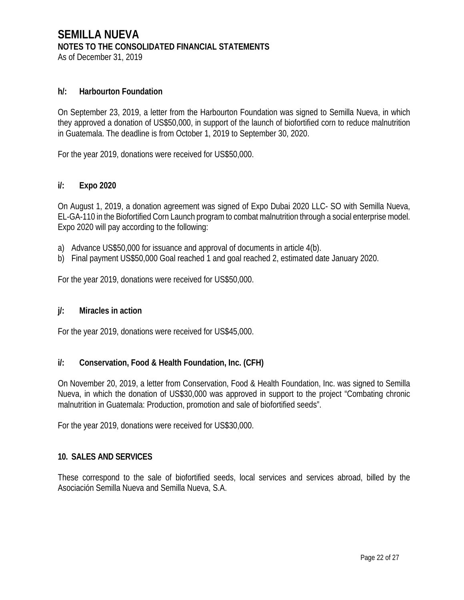### **h/: Harbourton Foundation**

On September 23, 2019, a letter from the Harbourton Foundation was signed to Semilla Nueva, in which they approved a donation of US\$50,000, in support of the launch of biofortified corn to reduce malnutrition in Guatemala. The deadline is from October 1, 2019 to September 30, 2020.

For the year 2019, donations were received for US\$50,000.

### **i/: Expo 2020**

On August 1, 2019, a donation agreement was signed of Expo Dubai 2020 LLC- SO with Semilla Nueva, EL-GA-110 in the Biofortified Corn Launch program to combat malnutrition through a social enterprise model. Expo 2020 will pay according to the following:

- a) Advance US\$50,000 for issuance and approval of documents in article 4(b).
- b) Final payment US\$50,000 Goal reached 1 and goal reached 2, estimated date January 2020.

For the year 2019, donations were received for US\$50,000.

#### **j/: Miracles in action**

For the year 2019, donations were received for US\$45,000.

#### **i/: Conservation, Food & Health Foundation, Inc. (CFH)**

On November 20, 2019, a letter from Conservation, Food & Health Foundation, Inc. was signed to Semilla Nueva, in which the donation of US\$30,000 was approved in support to the project "Combating chronic malnutrition in Guatemala: Production, promotion and sale of biofortified seeds".

For the year 2019, donations were received for US\$30,000.

#### **10. SALES AND SERVICES**

These correspond to the sale of biofortified seeds, local services and services abroad, billed by the Asociación Semilla Nueva and Semilla Nueva, S.A.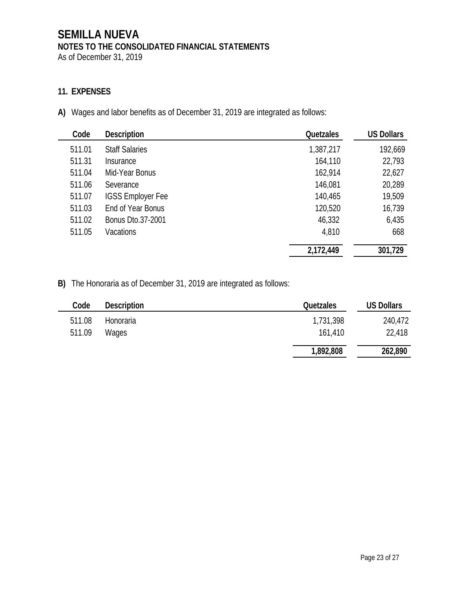As of December 31, 2019

## **11. EXPENSES**

**A)** Wages and labor benefits as of December 31, 2019 are integrated as follows:

| Code   | <b>Description</b>       | <b>Quetzales</b> | <b>US Dollars</b> |
|--------|--------------------------|------------------|-------------------|
| 511.01 | <b>Staff Salaries</b>    | 1,387,217        | 192,669           |
| 511.31 | Insurance                | 164,110          | 22,793            |
| 511.04 | Mid-Year Bonus           | 162,914          | 22,627            |
| 511.06 | Severance                | 146,081          | 20,289            |
| 511.07 | <b>IGSS Employer Fee</b> | 140,465          | 19,509            |
| 511.03 | End of Year Bonus        | 120,520          | 16,739            |
| 511.02 | Bonus Dto.37-2001        | 46,332           | 6,435             |
| 511.05 | <b>Vacations</b>         | 4,810            | 668               |
|        |                          | 2,172,449        | 301,729           |

**B)** The Honoraria as of December 31, 2019 are integrated as follows:

| Code   | Description | <b>Quetzales</b> | <b>US Dollars</b> |
|--------|-------------|------------------|-------------------|
| 511.08 | Honoraria   | 1,731,398        | 240,472           |
| 511.09 | Wages       | 161,410          | 22,418            |
|        |             | 1,892,808        | 262,890           |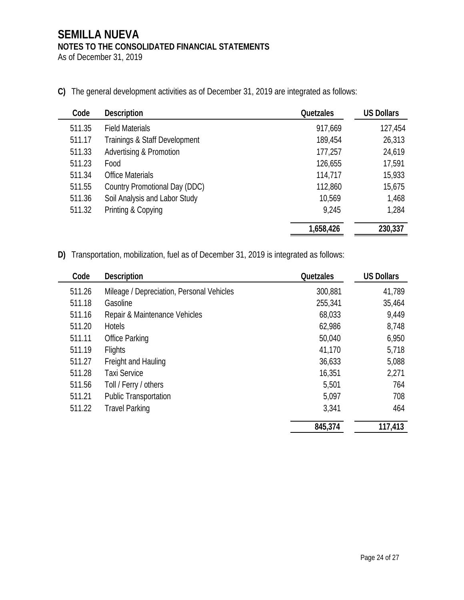As of December 31, 2019

**C)** The general development activities as of December 31, 2019 are integrated as follows:

| Code   | <b>Description</b>                 | <b>Quetzales</b> | <b>US Dollars</b> |
|--------|------------------------------------|------------------|-------------------|
| 511.35 | <b>Field Materials</b>             | 917,669          | 127,454           |
| 511.17 | Trainings & Staff Development      | 189,454          | 26,313            |
| 511.33 | <b>Advertising &amp; Promotion</b> | 177,257          | 24,619            |
| 511.23 | Food                               | 126,655          | 17,591            |
| 511.34 | <b>Office Materials</b>            | 114,717          | 15,933            |
| 511.55 | Country Promotional Day (DDC)      | 112,860          | 15,675            |
| 511.36 | Soil Analysis and Labor Study      | 10,569           | 1,468             |
| 511.32 | Printing & Copying                 | 9,245            | 1,284             |
|        |                                    | 1,658,426        | 230,337           |

**D)** Transportation, mobilization, fuel as of December 31, 2019 is integrated as follows:

| Code   | <b>Description</b>                        | <b>Quetzales</b> | <b>US Dollars</b> |
|--------|-------------------------------------------|------------------|-------------------|
| 511.26 | Mileage / Depreciation, Personal Vehicles | 300,881          | 41,789            |
| 511.18 | Gasoline                                  | 255,341          | 35,464            |
| 511.16 | Repair & Maintenance Vehicles             | 68,033           | 9,449             |
| 511.20 | <b>Hotels</b>                             | 62,986           | 8,748             |
| 511.11 | <b>Office Parking</b>                     | 50,040           | 6,950             |
| 511.19 | <b>Flights</b>                            | 41,170           | 5,718             |
| 511.27 | Freight and Hauling                       | 36,633           | 5,088             |
| 511.28 | <b>Taxi Service</b>                       | 16,351           | 2,271             |
| 511.56 | Toll / Ferry / others                     | 5,501            | 764               |
| 511.21 | <b>Public Transportation</b>              | 5,097            | 708               |
| 511.22 | <b>Travel Parking</b>                     | 3,341            | 464               |
|        |                                           | 845,374          | 117,413           |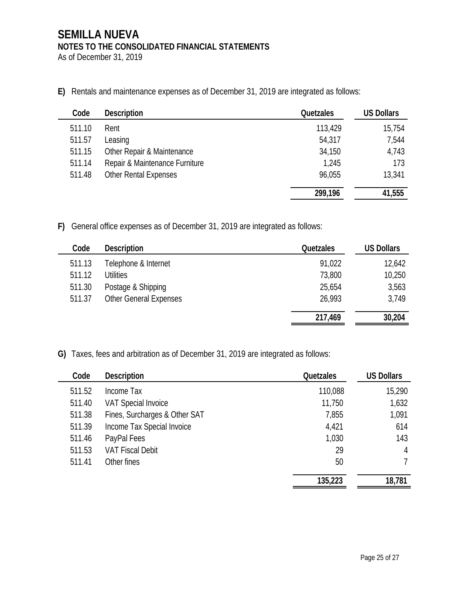As of December 31, 2019

**E)** Rentals and maintenance expenses as of December 31, 2019 are integrated as follows:

| Code   | <b>Description</b>             | Quetzales | <b>US Dollars</b> |
|--------|--------------------------------|-----------|-------------------|
| 511.10 | Rent                           | 113,429   | 15,754            |
| 511.57 | Leasing                        | 54,317    | 7,544             |
| 511.15 | Other Repair & Maintenance     | 34,150    | 4,743             |
| 511.14 | Repair & Maintenance Furniture | 1,245     | 173               |
| 511.48 | <b>Other Rental Expenses</b>   | 96,055    | 13,341            |
|        |                                | 299,196   | 41,555            |

**F)** General office expenses as of December 31, 2019 are integrated as follows:

| Code   | <b>Description</b>            | <b>Quetzales</b> | <b>US Dollars</b> |
|--------|-------------------------------|------------------|-------------------|
| 511.13 | Telephone & Internet          | 91,022           | 12,642            |
| 511.12 | <b>Utilities</b>              | 73,800           | 10,250            |
| 511.30 | Postage & Shipping            | 25,654           | 3,563             |
| 511.37 | <b>Other General Expenses</b> | 26,993           | 3,749             |
|        |                               |                  |                   |
|        |                               | 217,469          | 30,204            |

**G)** Taxes, fees and arbitration as of December 31, 2019 are integrated as follows:

| Code   | <b>Description</b>            | <b>Quetzales</b> | <b>US Dollars</b> |
|--------|-------------------------------|------------------|-------------------|
| 511.52 | Income Tax                    | 110,088          | 15,290            |
| 511.40 | <b>VAT Special Invoice</b>    | 11,750           | 1,632             |
| 511.38 | Fines, Surcharges & Other SAT | 7,855            | 1,091             |
| 511.39 | Income Tax Special Invoice    | 4,421            | 614               |
| 511.46 | PayPal Fees                   | 1,030            | 143               |
| 511.53 | <b>VAT Fiscal Debit</b>       | 29               | 4                 |
| 511.41 | Other fines                   | 50               |                   |
|        |                               | 135,223          | 18,781            |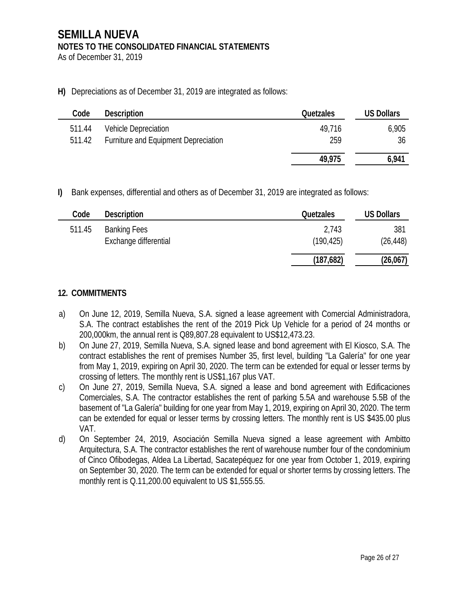As of December 31, 2019

 $\overline{a}$ 

**H)** Depreciations as of December 31, 2019 are integrated as follows:

| Code   | <b>Description</b>                   | <b>Quetzales</b> | <b>US Dollars</b> |
|--------|--------------------------------------|------------------|-------------------|
| 511.44 | <b>Vehicle Depreciation</b>          | 49.716           | 6,905             |
| 511.42 | Furniture and Equipment Depreciation | 259              | 36                |
|        |                                      | 49,975           | 6,941             |

**I)** Bank expenses, differential and others as of December 31, 2019 are integrated as follows:

| Code   | <b>Description</b>                           | <b>Quetzales</b>    | <b>US Dollars</b> |
|--------|----------------------------------------------|---------------------|-------------------|
| 511.45 | <b>Banking Fees</b><br>Exchange differential | 2,743<br>(190, 425) | 381<br>(26, 448)  |
|        |                                              | (187, 682)          | (26,067)          |

## **12. COMMITMENTS**

- a) On June 12, 2019, Semilla Nueva, S.A. signed a lease agreement with Comercial Administradora, S.A. The contract establishes the rent of the 2019 Pick Up Vehicle for a period of 24 months or 200,000km, the annual rent is Q89,807.28 equivalent to US\$12,473.23.
- b) On June 27, 2019, Semilla Nueva, S.A. signed lease and bond agreement with El Kiosco, S.A. The contract establishes the rent of premises Number 35, first level, building "La Galería" for one year from May 1, 2019, expiring on April 30, 2020. The term can be extended for equal or lesser terms by crossing of letters. The monthly rent is US\$1,167 plus VAT.
- c) On June 27, 2019, Semilla Nueva, S.A. signed a lease and bond agreement with Edificaciones Comerciales, S.A. The contractor establishes the rent of parking 5.5A and warehouse 5.5B of the basement of "La Galería" building for one year from May 1, 2019, expiring on April 30, 2020. The term can be extended for equal or lesser terms by crossing letters. The monthly rent is US \$435.00 plus VAT.
- d) On September 24, 2019, Asociación Semilla Nueva signed a lease agreement with Ambitto Arquitectura, S.A. The contractor establishes the rent of warehouse number four of the condominium of Cinco Ofibodegas, Aldea La Libertad, Sacatepéquez for one year from October 1, 2019, expiring on September 30, 2020. The term can be extended for equal or shorter terms by crossing letters. The monthly rent is Q.11,200.00 equivalent to US \$1,555.55.